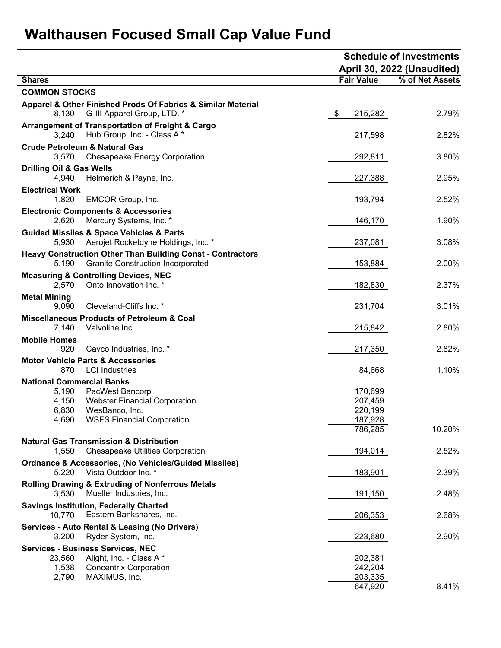## Walthausen Focused Small Cap Value Fund

|                                                                  |                                                                                                               |                   | <b>Schedule of Investments</b> |        |  |  |  |  |
|------------------------------------------------------------------|---------------------------------------------------------------------------------------------------------------|-------------------|--------------------------------|--------|--|--|--|--|
|                                                                  |                                                                                                               |                   | April 30, 2022 (Unaudited)     |        |  |  |  |  |
| <b>Shares</b>                                                    |                                                                                                               | <b>Fair Value</b> | % of Net Assets                |        |  |  |  |  |
| <b>COMMON STOCKS</b>                                             |                                                                                                               |                   |                                |        |  |  |  |  |
| 8,130                                                            | Apparel & Other Finished Prods Of Fabrics & Similar Material<br>G-III Apparel Group, LTD. *                   | $\frac{1}{2}$     | 215,282                        | 2.79%  |  |  |  |  |
| 3,240                                                            | <b>Arrangement of Transportation of Freight &amp; Cargo</b><br>Hub Group, Inc. - Class A *                    |                   | 217,598                        | 2.82%  |  |  |  |  |
| <b>Crude Petroleum &amp; Natural Gas</b><br>3,570                | <b>Chesapeake Energy Corporation</b>                                                                          |                   | 292,811                        | 3.80%  |  |  |  |  |
| <b>Drilling Oil &amp; Gas Wells</b><br>4,940                     | Helmerich & Payne, Inc.                                                                                       |                   | 227,388                        | 2.95%  |  |  |  |  |
| <b>Electrical Work</b><br>1,820                                  | EMCOR Group, Inc.                                                                                             |                   | 193,794                        | 2.52%  |  |  |  |  |
| <b>Electronic Components &amp; Accessories</b><br>2,620          | Mercury Systems, Inc. *                                                                                       |                   | 146,170                        | 1.90%  |  |  |  |  |
| <b>Guided Missiles &amp; Space Vehicles &amp; Parts</b><br>5,930 | Aerojet Rocketdyne Holdings, Inc. *                                                                           |                   | 237,081                        | 3.08%  |  |  |  |  |
| 5,190                                                            | <b>Heavy Construction Other Than Building Const - Contractors</b><br><b>Granite Construction Incorporated</b> |                   | 153,884                        | 2.00%  |  |  |  |  |
| <b>Measuring &amp; Controlling Devices, NEC</b><br>2,570         | Onto Innovation Inc. *                                                                                        |                   | 182,830                        | 2.37%  |  |  |  |  |
| <b>Metal Mining</b><br>9,090                                     | Cleveland-Cliffs Inc. *                                                                                       |                   | 231,704                        | 3.01%  |  |  |  |  |
| 7,140                                                            | <b>Miscellaneous Products of Petroleum &amp; Coal</b><br>Valvoline Inc.                                       |                   | 215,842                        | 2.80%  |  |  |  |  |
| <b>Mobile Homes</b><br>920                                       | Cavco Industries, Inc. *                                                                                      |                   | 217,350                        | 2.82%  |  |  |  |  |
| <b>Motor Vehicle Parts &amp; Accessories</b><br>870              | <b>LCI</b> Industries                                                                                         |                   | 84,668                         | 1.10%  |  |  |  |  |
| <b>National Commercial Banks</b>                                 |                                                                                                               |                   |                                |        |  |  |  |  |
| 5,190                                                            | PacWest Bancorp                                                                                               |                   | 170,699                        |        |  |  |  |  |
| 4,150                                                            | <b>Webster Financial Corporation</b>                                                                          |                   | 207,459                        |        |  |  |  |  |
| 6,830                                                            | WesBanco, Inc.                                                                                                |                   | 220,199                        |        |  |  |  |  |
| 4,690                                                            | <b>WSFS Financial Corporation</b>                                                                             |                   | 187,928<br>786,285             | 10.20% |  |  |  |  |
|                                                                  |                                                                                                               |                   |                                |        |  |  |  |  |
| <b>Natural Gas Transmission &amp; Distribution</b><br>1,550      | <b>Chesapeake Utilities Corporation</b>                                                                       |                   | 194,014                        | 2.52%  |  |  |  |  |
|                                                                  | <b>Ordnance &amp; Accessories, (No Vehicles/Guided Missiles)</b>                                              |                   |                                |        |  |  |  |  |
| 5,220                                                            | Vista Outdoor Inc. *                                                                                          |                   | 183,901                        | 2.39%  |  |  |  |  |
|                                                                  | <b>Rolling Drawing &amp; Extruding of Nonferrous Metals</b>                                                   |                   |                                |        |  |  |  |  |
| 3,530                                                            | Mueller Industries, Inc.                                                                                      |                   | 191,150                        | 2.48%  |  |  |  |  |
| <b>Savings Institution, Federally Charted</b><br>10,770          | Eastern Bankshares, Inc.                                                                                      |                   | 206,353                        | 2.68%  |  |  |  |  |
|                                                                  | <b>Services - Auto Rental &amp; Leasing (No Drivers)</b>                                                      |                   |                                |        |  |  |  |  |
| 3,200                                                            | Ryder System, Inc.                                                                                            |                   | 223,680                        | 2.90%  |  |  |  |  |
| <b>Services - Business Services, NEC</b>                         |                                                                                                               |                   |                                |        |  |  |  |  |
| 23,560                                                           | Alight, Inc. - Class A *                                                                                      |                   | 202,381                        |        |  |  |  |  |
| 1,538                                                            | <b>Concentrix Corporation</b>                                                                                 |                   | 242,204                        |        |  |  |  |  |
| 2,790                                                            | MAXIMUS, Inc.                                                                                                 |                   | 203,335<br>647,920             | 8.41%  |  |  |  |  |
|                                                                  |                                                                                                               |                   |                                |        |  |  |  |  |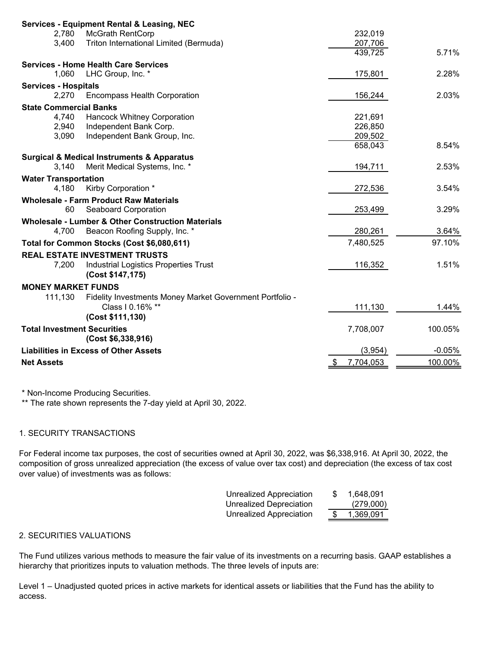|                                    | <b>Services - Equipment Rental &amp; Leasing, NEC</b>     |                   |          |
|------------------------------------|-----------------------------------------------------------|-------------------|----------|
| 2,780                              | <b>McGrath RentCorp</b>                                   | 232,019           |          |
| 3,400                              | Triton International Limited (Bermuda)                    | 207,706           |          |
|                                    |                                                           | 439,725           | 5.71%    |
|                                    | <b>Services - Home Health Care Services</b>               |                   |          |
| 1,060                              | LHC Group, Inc. *                                         | 175,801           | 2.28%    |
| <b>Services - Hospitals</b>        |                                                           |                   |          |
| 2,270                              | <b>Encompass Health Corporation</b>                       | 156,244           | 2.03%    |
| <b>State Commercial Banks</b>      |                                                           |                   |          |
| 4,740                              | Hancock Whitney Corporation                               | 221,691           |          |
| 2,940                              | Independent Bank Corp.                                    | 226,850           |          |
| 3,090                              | Independent Bank Group, Inc.                              | 209,502           |          |
|                                    |                                                           | 658,043           | 8.54%    |
|                                    | <b>Surgical &amp; Medical Instruments &amp; Apparatus</b> |                   |          |
| 3,140                              | Merit Medical Systems, Inc. *                             | 194,711           | 2.53%    |
|                                    |                                                           |                   |          |
| <b>Water Transportation</b>        |                                                           |                   |          |
| 4,180                              | Kirby Corporation *                                       | 272,536           | 3.54%    |
|                                    | <b>Wholesale - Farm Product Raw Materials</b>             |                   |          |
| 60                                 | Seaboard Corporation                                      | 253,499           | 3.29%    |
|                                    | Wholesale - Lumber & Other Construction Materials         |                   |          |
| 4,700                              | Beacon Roofing Supply, Inc. *                             | 280,261           | 3.64%    |
|                                    | Total for Common Stocks (Cost \$6,080,611)                | 7,480,525         | 97.10%   |
|                                    | <b>REAL ESTATE INVESTMENT TRUSTS</b>                      |                   |          |
| 7,200                              | <b>Industrial Logistics Properties Trust</b>              | 116,352           | 1.51%    |
|                                    | (Cost \$147,175)                                          |                   |          |
| <b>MONEY MARKET FUNDS</b>          |                                                           |                   |          |
| 111,130                            | Fidelity Investments Money Market Government Portfolio -  |                   |          |
|                                    | Class   0.16% **                                          | 111,130           | 1.44%    |
|                                    | (Cost \$111,130)                                          |                   |          |
| <b>Total Investment Securities</b> |                                                           | 7,708,007         | 100.05%  |
|                                    | (Cost \$6,338,916)                                        |                   |          |
|                                    |                                                           |                   |          |
|                                    | <b>Liabilities in Excess of Other Assets</b>              | (3,954)           | $-0.05%$ |
| <b>Net Assets</b>                  |                                                           | 7,704,053<br>- 35 | 100.00%  |
|                                    |                                                           |                   |          |

\* Non-Income Producing Securities.

\*\* The rate shown represents the 7-day yield at April 30, 2022.

## 1. SECURITY TRANSACTIONS

For Federal income tax purposes, the cost of securities owned at April 30, 2022, was \$6,338,916. At April 30, 2022, the composition of gross unrealized appreciation (the excess of value over tax cost) and depreciation (the excess of tax cost over value) of investments was as follows:

| <b>Unrealized Appreciation</b> | S | 1,648,091 |
|--------------------------------|---|-----------|
| <b>Unrealized Depreciation</b> |   | (279,000) |
| Unrealized Appreciation        |   | 1,369,091 |

## 2. SECURITIES VALUATIONS

The Fund utilizes various methods to measure the fair value of its investments on a recurring basis. GAAP establishes a hierarchy that prioritizes inputs to valuation methods. The three levels of inputs are:

Level 1 - Unadjusted quoted prices in active markets for identical assets or liabilities that the Fund has the ability to access.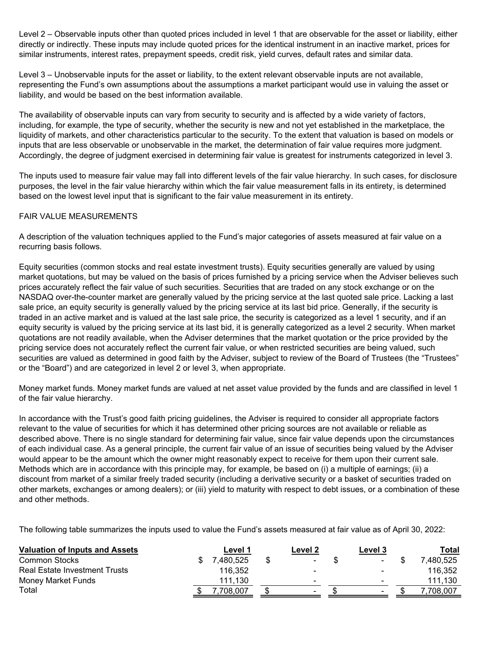Level 2 – Observable inputs other than quoted prices included in level 1 that are observable for the asset or liability, either directly or indirectly. These inputs may include quoted prices for the identical instrument in an inactive market, prices for similar instruments, interest rates, prepayment speeds, credit risk, yield curves, default rates and similar data.

Level 3 – Unobservable inputs for the asset or liability, to the extent relevant observable inputs are not available, representing the Fund's own assumptions about the assumptions a market participant would use in valuing the asset or liability, and would be based on the best information available.

The availability of observable inputs can vary from security to security and is affected by a wide variety of factors, including, for example, the type of security, whether the security is new and not yet established in the marketplace, the liquidity of markets, and other characteristics particular to the security. To the extent that valuation is based on models or inputs that are less observable or unobservable in the market, the determination of fair value requires more judgment. Accordingly, the degree of judgment exercised in determining fair value is greatest for instruments categorized in level 3.

The inputs used to measure fair value may fall into different levels of the fair value hierarchy. In such cases, for disclosure purposes, the level in the fair value hierarchy within which the fair value measurement falls in its entirety, is determined based on the lowest level input that is significant to the fair value measurement in its entirety.

## FAIR VALUE MEASUREMENTS

A description of the valuation techniques applied to the Fund's major categories of assets measured at fair value on a recurring basis follows.

Equity securities (common stocks and real estate investment trusts). Equity securities generally are valued by using market quotations, but may be valued on the basis of prices furnished by a pricing service when the Adviser believes such prices accurately reflect the fair value of such securities. Securities that are traded on any stock exchange or on the NASDAQ over-the-counter market are generally valued by the pricing service at the last quoted sale price. Lacking a last sale price, an equity security is generally valued by the pricing service at its last bid price. Generally, if the security is traded in an active market and is valued at the last sale price, the security is categorized as a level 1 security, and if an equity security is valued by the pricing service at its last bid, it is generally categorized as a level 2 security. When market quotations are not readily available, when the Adviser determines that the market quotation or the price provided by the pricing service does not accurately reflect the current fair value, or when restricted securities are being valued, such securities are valued as determined in good faith by the Adviser, subject to review of the Board of Trustees (the "Trustees" or the "Board") and are categorized in level 2 or level 3, when appropriate.

Money market funds. Money market funds are valued at net asset value provided by the funds and are classified in level 1 of the fair value hierarchy.

In accordance with the Trust's good faith pricing guidelines, the Adviser is required to consider all appropriate factors relevant to the value of securities for which it has determined other pricing sources are not available or reliable as described above. There is no single standard for determining fair value, since fair value depends upon the circumstances of each individual case. As a general principle, the current fair value of an issue of securities being valued by the Adviser would appear to be the amount which the owner might reasonably expect to receive for them upon their current sale. Methods which are in accordance with this principle may, for example, be based on (i) a multiple of earnings; (ii) a discount from market of a similar freely traded security (including a derivative security or a basket of securities traded on other markets, exchanges or among dealers); or (iii) yield to maturity with respect to debt issues, or a combination of these and other methods.

The following table summarizes the inputs used to value the Fund's assets measured at fair value as of April 30, 2022:

| <b>Valuation of Inputs and Assets</b> | Level 1   | Level 2        | Level 3                  | Total    |
|---------------------------------------|-----------|----------------|--------------------------|----------|
| <b>Common Stocks</b>                  | 480.525'. | ۰              | ۰                        | 480.525" |
| <b>Real Estate Investment Trusts</b>  | 116.352   | $\blacksquare$ |                          | 116.352  |
| Money Market Funds                    | 111.130   | $\blacksquare$ | $\overline{\phantom{a}}$ | 111.130  |
| Total                                 | .708.007  | ۰              | $\overline{\phantom{a}}$ | .708.007 |